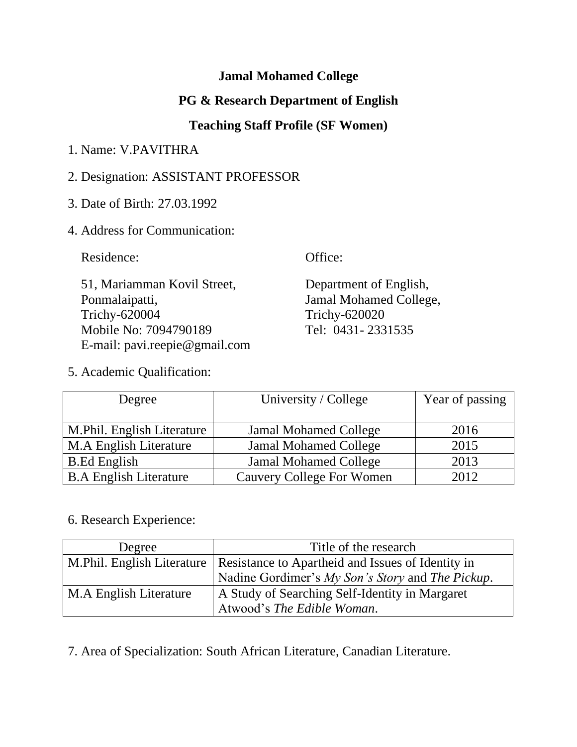## **Jamal Mohamed College**

# **PG & Research Department of English**

## **Teaching Staff Profile (SF Women)**

## 1. Name: V.PAVITHRA

## 2. Designation: ASSISTANT PROFESSOR

3. Date of Birth: 27.03.1992

### 4. Address for Communication:

Residence: Office:

 51, Mariamman Kovil Street, Department of English, Ponmalaipatti, Jamal Mohamed College, Trichy-620004 Trichy-620020 Mobile No: 7094790189 Tel: 0431-2331535 E-mail: pavi.reepie@gmail.com

5. Academic Qualification:

Degree University / College Year of passing M.Phil. English Literature Jamal Mohamed College 2016 M.A English Literature  $\vert$  Jamal Mohamed College  $\vert$  2015 B.Ed English Jamal Mohamed College 2013 B.A English Literature | Cauvery College For Women | 2012

### 6. Research Experience:

| Degree                 | Title of the research                                                           |  |
|------------------------|---------------------------------------------------------------------------------|--|
|                        | M. Phil. English Literature   Resistance to Apartheid and Issues of Identity in |  |
|                        | Nadine Gordimer's My Son's Story and The Pickup.                                |  |
| M.A English Literature | A Study of Searching Self-Identity in Margaret                                  |  |
|                        | Atwood's The Edible Woman.                                                      |  |

7. Area of Specialization: South African Literature, Canadian Literature.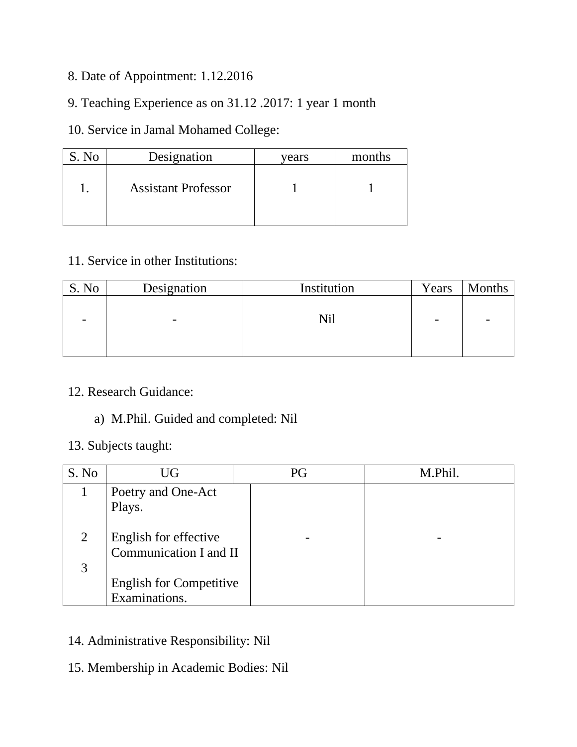- 8. Date of Appointment: 1.12.2016
- 9. Teaching Experience as on 31.12 .2017: 1 year 1 month

## 10. Service in Jamal Mohamed College:

| N <sub>o</sub> | Designation                | vears | months |
|----------------|----------------------------|-------|--------|
|                | <b>Assistant Professor</b> |       |        |

## 11. Service in other Institutions:

| S. No | Designation              | Institution | Years | Months |
|-------|--------------------------|-------------|-------|--------|
| -     | $\overline{\phantom{0}}$ | Nil         |       | -      |

#### 12. Research Guidance:

### a) M.Phil. Guided and completed: Nil

#### 13. Subjects taught:

| S. No | UG                             | PG | M.Phil. |
|-------|--------------------------------|----|---------|
|       | Poetry and One-Act             |    |         |
|       | Plays.                         |    |         |
| 2     | English for effective          |    |         |
|       | Communication I and II         |    |         |
| 3     |                                |    |         |
|       | <b>English for Competitive</b> |    |         |
|       | Examinations.                  |    |         |

- 14. Administrative Responsibility: Nil
- 15. Membership in Academic Bodies: Nil